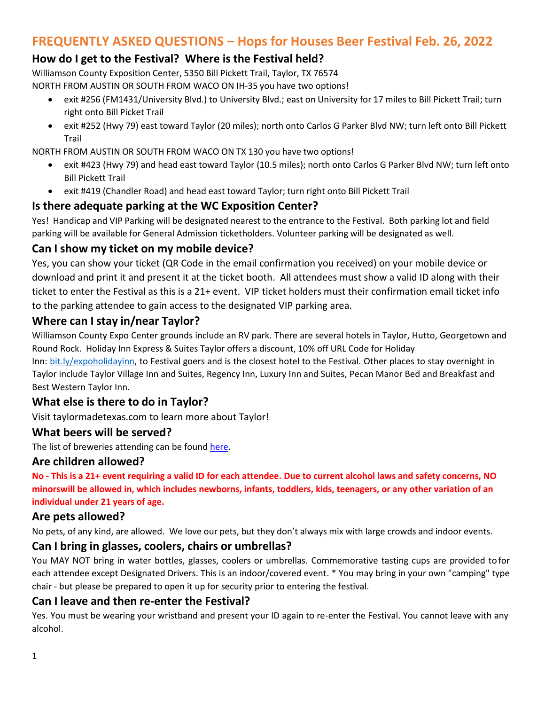# **FREQUENTLY ASKED QUESTIONS – Hops for Houses Beer Festival Feb. 26, 2022**

# **How do I get to the Festival? Where is the Festival held?**

Williamson County Exposition Center, 5350 Bill Pickett Trail, Taylor, TX 76574

- NORTH FROM AUSTIN OR SOUTH FROM WACO ON IH-35 you have two options!
	- exit #256 (FM1431/University Blvd.) to University Blvd.; east on University for 17 miles to Bill Pickett Trail; turn right onto Bill Picket Trail
	- exit #252 (Hwy 79) east toward Taylor (20 miles); north onto Carlos G Parker Blvd NW; turn left onto Bill Pickett Trail

NORTH FROM AUSTIN OR SOUTH FROM WACO ON TX 130 you have two options!

- exit #423 (Hwy 79) and head east toward Taylor (10.5 miles); north onto Carlos G Parker Blvd NW; turn left onto Bill Pickett Trail
- exit #419 (Chandler Road) and head east toward Taylor; turn right onto Bill Pickett Trail

### **Is there adequate parking at the WC Exposition Center?**

Yes! Handicap and VIP Parking will be designated nearest to the entrance to the Festival. Both parking lot and field parking will be available for General Admission ticketholders. Volunteer parking will be designated as well.

### **Can I show my ticket on my mobile device?**

Yes, you can show your ticket (QR Code in the email confirmation you received) on your mobile device or download and print it and present it at the ticket booth. All attendees must show a valid ID along with their ticket to enter the Festival as this is a 21+ event. VIP ticket holders must their confirmation email ticket info to the parking attendee to gain access to the designated VIP parking area.

#### **Where can I stay in/near Taylor?**

Williamson County Expo Center grounds include an RV park. There are several hotels in Taylor, Hutto, Georgetown and Round Rock. Holiday Inn Express & Suites Taylor offers a discount, 10% off URL Code for Holiday

Inn: bit.ly/expoholidayinn, to Festival goers and is the closest hotel to the Festival. Other places to stay overnight in Taylor include Taylor Village Inn and Suites, Regency Inn, Luxury Inn and Suites, Pecan Manor Bed and Breakfast and Best Western Taylor Inn.

### **What else is there to do in Taylor?**

Visit taylormadetexas.com to learn more about Taylor!

#### **What beers will be served?**

The list of breweries attending can be found [here.](https://williamsonhabitat.org/hopsforhouses/)

#### **Are children allowed?**

**No - This is a 21+ event requiring a valid ID for each attendee. Due to current alcohol laws and safety concerns, NO minorswill be allowed in, which includes newborns, infants, toddlers, kids, teenagers, or any other variation of an individual under 21 years of age.**

#### **Are pets allowed?**

No pets, of any kind, are allowed. We love our pets, but they don't always mix with large crowds and indoor events.

#### **Can I bring in glasses, coolers, chairs or umbrellas?**

You MAY NOT bring in water bottles, glasses, coolers or umbrellas. Commemorative tasting cups are provided to for each attendee except Designated Drivers. This is an indoor/covered event. \* You may bring in your own "camping" type chair - but please be prepared to open it up for security prior to entering the festival.

#### **Can I leave and then re-enter the Festival?**

Yes. You must be wearing your wristband and present your ID again to re-enter the Festival. You cannot leave with any alcohol.